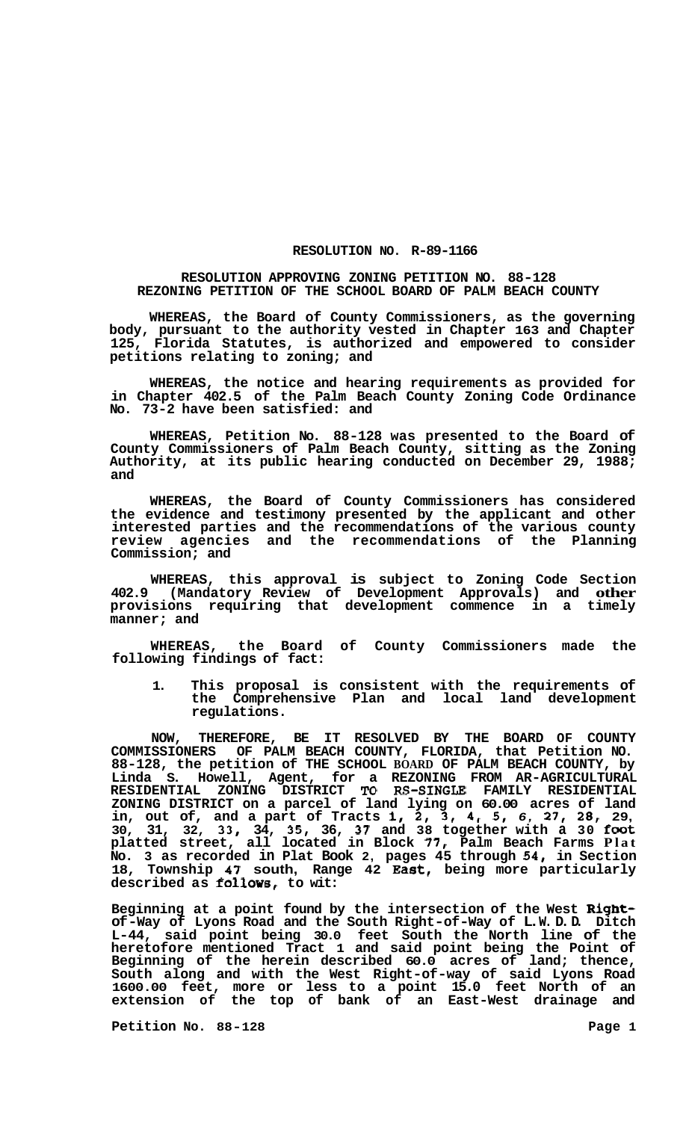## **RESOLUTION NO. R-89-1166**

## **RESOLUTION APPROVING ZONING PETITION NO. 88-128 REZONING PETITION OF THE SCHOOL BOARD OF PALM BEACH COUNTY**

**WHEREAS, the Board of County Commissioners, as the governing body, pursuant to the authority vested in Chapter 163 and Chapter 125, Florida Statutes, is authorized and empowered to consider petitions relating to zoning; and** 

**WHEREAS, the notice and hearing requirements as provided for in Chapter 402.5 of the Palm Beach County Zoning Code Ordinance No. 73-2 have been satisfied: and** 

**WHEREAS, Petition No. 88-128 was presented to the Board of County Commissioners of Palm Beach County, sitting as the Zoning Authority, at its public hearing conducted on December 29, 1988; and** 

**WHEREAS, the Board of County Commissioners has considered the evidence and testimony presented by the applicant and other interested parties and the recommendations of the various county review agencies and the recommendations of the Planning Commission; and** 

**WHEREAS, this approval is subject to Zoning Code Section 402.9 (Mandatory Review of Development Approvals) and other provisions requiring that development commence in a timely manner; and** 

**WHEREAS, the Board of County Commissioners made the following findings of fact:** 

**1. This proposal is consistent with the requirements of the Comprehensive Plan and local land development regulations.** 

**NOW, THEREFORE, BE IT RESOLVED BY THE BOARD OF COUNTY COMMISSIONERS OF PALM BEACH COUNTY, FLORIDA, that Petition NO. 88-128, the petition of THE SCHOOL BOARD OF PALM BEACH COUNTY, by Linda S. Howell, Agent, for a REZONING FROM AR-AGRICULTURAL RESIDENTIAL ZONING DISTRICT** *To* **RS-SINGLE FAMILY RESIDENTIAL ZONING DISTRICT on a parcel of land lying on 60.00 acres of land in, out of, and a part of Tracts 1, 2, 3, 4, 5,** *6,* **27,** *28,* **29, 30, 31, 32, 33, 34, 35, 36, 37 and 38 together with a 30 foot platted street, all located in Block** *77,* **Palm Beach Farms Plat No. 3 as recorded in Plat Book 2, pages 45 through 54, in Section 18, Township 47 south, Range 42 East, being more particularly**  described as follows, to wit:

**Beginning at a point found by the intersection of the West Rightof -Way of Lyons Road and the South Right-of -Way of L. W. D. D. Ditch L-44, said point being 30.0 feet South the North line of the heretofore mentioned Tract 1 and said point being the Point of Beginning of the herein described 60.0 acres of land; thence, South along and with the West Right-of-way of said Lyons Road 1600.00 feet, more or less to a point 15.0 feet North of an extension of the top of bank of an East-West drainage and** 

**Petition No. 88-128 Page 1**